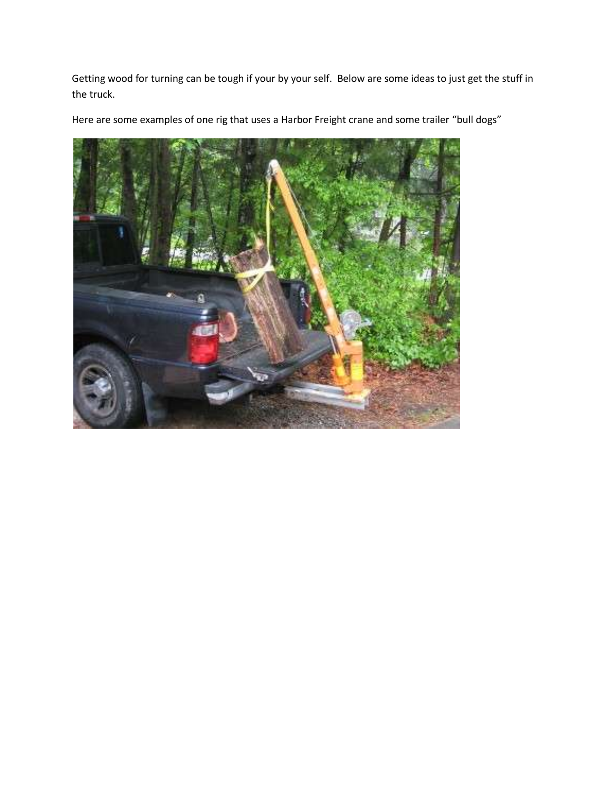Getting wood for turning can be tough if your by your self. Below are some ideas to just get the stuff in the truck.

Here are some examples of one rig that uses a Harbor Freight crane and some trailer "bull dogs"

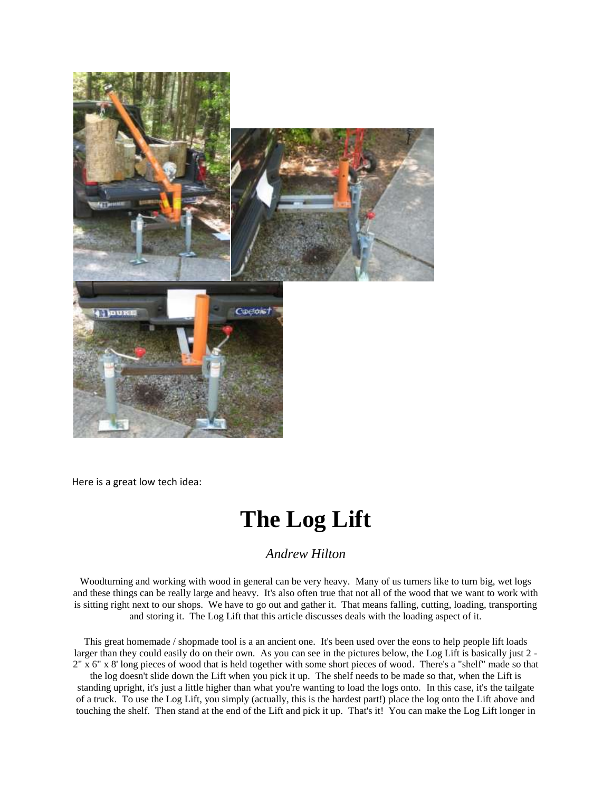

Here is a great low tech idea:

## **The Log Lift**

## *Andrew Hilton*

Woodturning and working with wood in general can be very heavy. Many of us turners like to turn big, wet logs and these things can be really large and heavy. It's also often true that not all of the wood that we want to work with is sitting right next to our shops. We have to go out and gather it. That means falling, cutting, loading, transporting and storing it. The Log Lift that this article discusses deals with the loading aspect of it.

This great homemade / shopmade tool is a an ancient one. It's been used over the eons to help people lift loads larger than they could easily do on their own. As you can see in the pictures below, the Log Lift is basically just 2 - 2" x 6" x 8' long pieces of wood that is held together with some short pieces of wood. There's a "shelf" made so that

the log doesn't slide down the Lift when you pick it up. The shelf needs to be made so that, when the Lift is standing upright, it's just a little higher than what you're wanting to load the logs onto. In this case, it's the tailgate of a truck. To use the Log Lift, you simply (actually, this is the hardest part!) place the log onto the Lift above and touching the shelf. Then stand at the end of the Lift and pick it up. That's it! You can make the Log Lift longer in